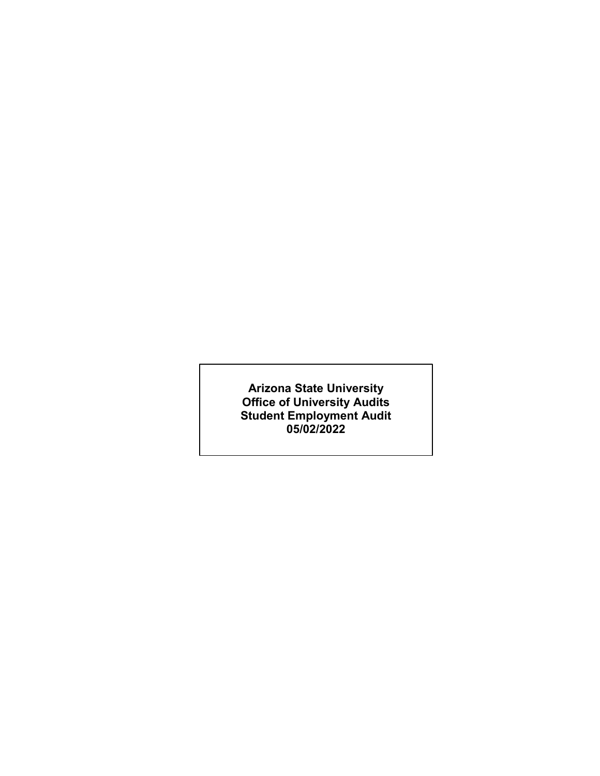**Arizona State University Office of University Audits Student Employment Audit 05/02/2022**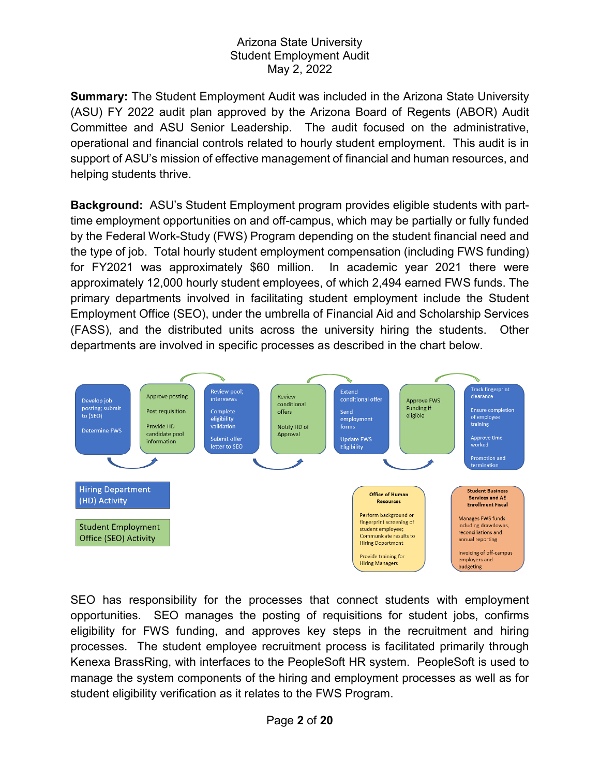**Summary:** The Student Employment Audit was included in the Arizona State University (ASU) FY 2022 audit plan approved by the Arizona Board of Regents (ABOR) Audit Committee and ASU Senior Leadership. The audit focused on the administrative, operational and financial controls related to hourly student employment. This audit is in support of ASU's mission of effective management of financial and human resources, and helping students thrive.

**Background:** ASU's Student Employment program provides eligible students with parttime employment opportunities on and off-campus, which may be partially or fully funded by the Federal Work-Study (FWS) Program depending on the student financial need and the type of job. Total hourly student employment compensation (including FWS funding) for FY2021 was approximately \$60 million. In academic year 2021 there were approximately 12,000 hourly student employees, of which 2,494 earned FWS funds. The primary departments involved in facilitating student employment include the Student Employment Office (SEO), under the umbrella of Financial Aid and Scholarship Services (FASS), and the distributed units across the university hiring the students. Other departments are involved in specific processes as described in the chart below.



SEO has responsibility for the processes that connect students with employment opportunities. SEO manages the posting of requisitions for student jobs, confirms eligibility for FWS funding, and approves key steps in the recruitment and hiring processes. The student employee recruitment process is facilitated primarily through Kenexa BrassRing, with interfaces to the PeopleSoft HR system. PeopleSoft is used to manage the system components of the hiring and employment processes as well as for student eligibility verification as it relates to the FWS Program.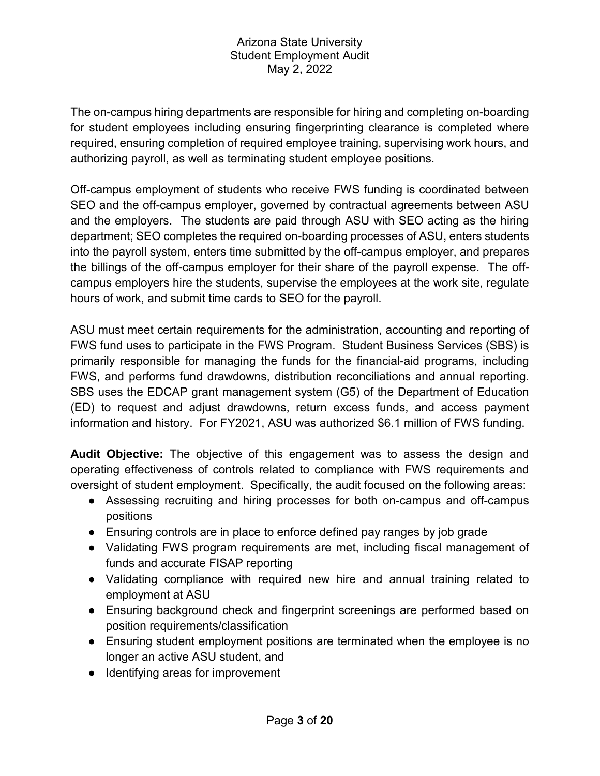The on-campus hiring departments are responsible for hiring and completing on-boarding for student employees including ensuring fingerprinting clearance is completed where required, ensuring completion of required employee training, supervising work hours, and authorizing payroll, as well as terminating student employee positions.

Off-campus employment of students who receive FWS funding is coordinated between SEO and the off-campus employer, governed by contractual agreements between ASU and the employers. The students are paid through ASU with SEO acting as the hiring department; SEO completes the required on-boarding processes of ASU, enters students into the payroll system, enters time submitted by the off-campus employer, and prepares the billings of the off-campus employer for their share of the payroll expense. The offcampus employers hire the students, supervise the employees at the work site, regulate hours of work, and submit time cards to SEO for the payroll.

ASU must meet certain requirements for the administration, accounting and reporting of FWS fund uses to participate in the FWS Program. Student Business Services (SBS) is primarily responsible for managing the funds for the financial-aid programs, including FWS, and performs fund drawdowns, distribution reconciliations and annual reporting. SBS uses the EDCAP grant management system (G5) of the Department of Education (ED) to request and adjust drawdowns, return excess funds, and access payment information and history. For FY2021, ASU was authorized \$6.1 million of FWS funding.

**Audit Objective:** The objective of this engagement was to assess the design and operating effectiveness of controls related to compliance with FWS requirements and oversight of student employment. Specifically, the audit focused on the following areas:

- Assessing recruiting and hiring processes for both on-campus and off-campus positions
- Ensuring controls are in place to enforce defined pay ranges by job grade
- Validating FWS program requirements are met, including fiscal management of funds and accurate FISAP reporting
- Validating compliance with required new hire and annual training related to employment at ASU
- Ensuring background check and fingerprint screenings are performed based on position requirements/classification
- Ensuring student employment positions are terminated when the employee is no longer an active ASU student, and
- Identifying areas for improvement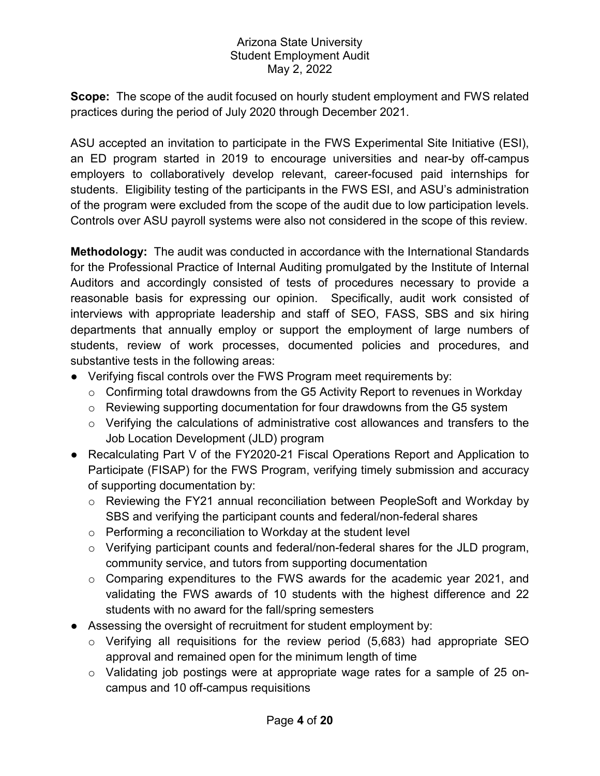**Scope:** The scope of the audit focused on hourly student employment and FWS related practices during the period of July 2020 through December 2021.

ASU accepted an invitation to participate in the FWS Experimental Site Initiative (ESI), an ED program started in 2019 to encourage universities and near-by off-campus employers to collaboratively develop relevant, career-focused paid internships for students. Eligibility testing of the participants in the FWS ESI, and ASU's administration of the program were excluded from the scope of the audit due to low participation levels. Controls over ASU payroll systems were also not considered in the scope of this review.

**Methodology:** The audit was conducted in accordance with the International Standards for the Professional Practice of Internal Auditing promulgated by the Institute of Internal Auditors and accordingly consisted of tests of procedures necessary to provide a reasonable basis for expressing our opinion. Specifically, audit work consisted of interviews with appropriate leadership and staff of SEO, FASS, SBS and six hiring departments that annually employ or support the employment of large numbers of students, review of work processes, documented policies and procedures, and substantive tests in the following areas:

- Verifying fiscal controls over the FWS Program meet requirements by:
	- $\circ$  Confirming total drawdowns from the G5 Activity Report to revenues in Workday
	- $\circ$  Reviewing supporting documentation for four drawdowns from the G5 system
	- $\circ$  Verifying the calculations of administrative cost allowances and transfers to the Job Location Development (JLD) program
- Recalculating Part V of the FY2020-21 Fiscal Operations Report and Application to Participate (FISAP) for the FWS Program, verifying timely submission and accuracy of supporting documentation by:
	- o Reviewing the FY21 annual reconciliation between PeopleSoft and Workday by SBS and verifying the participant counts and federal/non-federal shares
	- o Performing a reconciliation to Workday at the student level
	- o Verifying participant counts and federal/non-federal shares for the JLD program, community service, and tutors from supporting documentation
	- o Comparing expenditures to the FWS awards for the academic year 2021, and validating the FWS awards of 10 students with the highest difference and 22 students with no award for the fall/spring semesters
- Assessing the oversight of recruitment for student employment by:
	- $\circ$  Verifying all requisitions for the review period (5,683) had appropriate SEO approval and remained open for the minimum length of time
	- o Validating job postings were at appropriate wage rates for a sample of 25 oncampus and 10 off-campus requisitions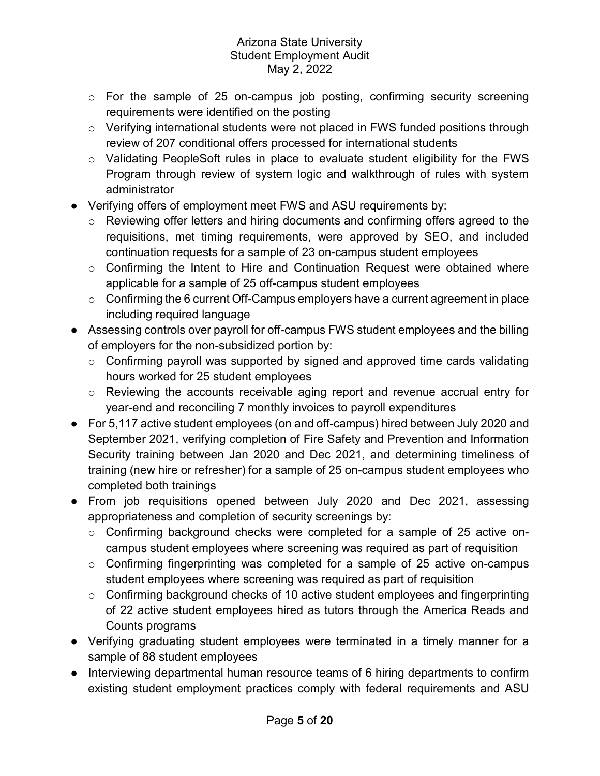- o For the sample of 25 on-campus job posting, confirming security screening requirements were identified on the posting
- o Verifying international students were not placed in FWS funded positions through review of 207 conditional offers processed for international students
- $\circ$  Validating PeopleSoft rules in place to evaluate student eligibility for the FWS Program through review of system logic and walkthrough of rules with system administrator
- Verifying offers of employment meet FWS and ASU requirements by:
	- o Reviewing offer letters and hiring documents and confirming offers agreed to the requisitions, met timing requirements, were approved by SEO, and included continuation requests for a sample of 23 on-campus student employees
	- o Confirming the Intent to Hire and Continuation Request were obtained where applicable for a sample of 25 off-campus student employees
	- $\circ$  Confirming the 6 current Off-Campus employers have a current agreement in place including required language
- Assessing controls over payroll for off-campus FWS student employees and the billing of employers for the non-subsidized portion by:
	- $\circ$  Confirming payroll was supported by signed and approved time cards validating hours worked for 25 student employees
	- o Reviewing the accounts receivable aging report and revenue accrual entry for year-end and reconciling 7 monthly invoices to payroll expenditures
- For 5,117 active student employees (on and off-campus) hired between July 2020 and September 2021, verifying completion of Fire Safety and Prevention and Information Security training between Jan 2020 and Dec 2021, and determining timeliness of training (new hire or refresher) for a sample of 25 on-campus student employees who completed both trainings
- From job requisitions opened between July 2020 and Dec 2021, assessing appropriateness and completion of security screenings by:
	- $\circ$  Confirming background checks were completed for a sample of 25 active oncampus student employees where screening was required as part of requisition
	- $\circ$  Confirming fingerprinting was completed for a sample of 25 active on-campus student employees where screening was required as part of requisition
	- $\circ$  Confirming background checks of 10 active student employees and fingerprinting of 22 active student employees hired as tutors through the America Reads and Counts programs
- Verifying graduating student employees were terminated in a timely manner for a sample of 88 student employees
- Interviewing departmental human resource teams of 6 hiring departments to confirm existing student employment practices comply with federal requirements and ASU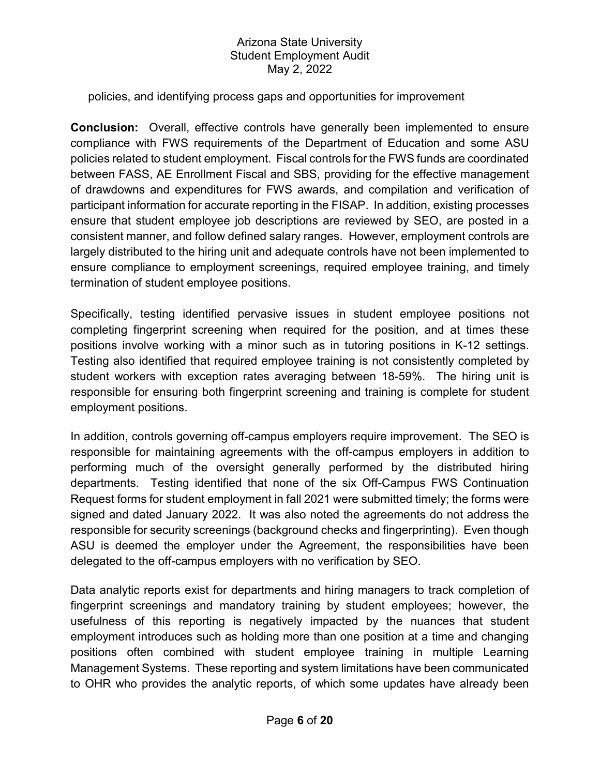#### policies, and identifying process gaps and opportunities for improvement

**Conclusion:** Overall, effective controls have generally been implemented to ensure compliance with FWS requirements of the Department of Education and some ASU policies related to student employment. Fiscal controls for the FWS funds are coordinated between FASS, AE Enrollment Fiscal and SBS, providing for the effective management of drawdowns and expenditures for FWS awards, and compilation and verification of participant information for accurate reporting in the FISAP. In addition, existing processes ensure that student employee job descriptions are reviewed by SEO, are posted in a consistent manner, and follow defined salary ranges. However, employment controls are largely distributed to the hiring unit and adequate controls have not been implemented to ensure compliance to employment screenings, required employee training, and timely termination of student employee positions.

Specifically, testing identified pervasive issues in student employee positions not completing fingerprint screening when required for the position, and at times these positions involve working with a minor such as in tutoring positions in K-12 settings. Testing also identified that required employee training is not consistently completed by student workers with exception rates averaging between 18-59%. The hiring unit is responsible for ensuring both fingerprint screening and training is complete for student employment positions.

In addition, controls governing off-campus employers require improvement. The SEO is responsible for maintaining agreements with the off-campus employers in addition to performing much of the oversight generally performed by the distributed hiring departments. Testing identified that none of the six Off-Campus FWS Continuation Request forms for student employment in fall 2021 were submitted timely; the forms were signed and dated January 2022. It was also noted the agreements do not address the responsible for security screenings (background checks and fingerprinting). Even though ASU is deemed the employer under the Agreement, the responsibilities have been delegated to the off-campus employers with no verification by SEO.

Data analytic reports exist for departments and hiring managers to track completion of fingerprint screenings and mandatory training by student employees; however, the usefulness of this reporting is negatively impacted by the nuances that student employment introduces such as holding more than one position at a time and changing positions often combined with student employee training in multiple Learning Management Systems. These reporting and system limitations have been communicated to OHR who provides the analytic reports, of which some updates have already been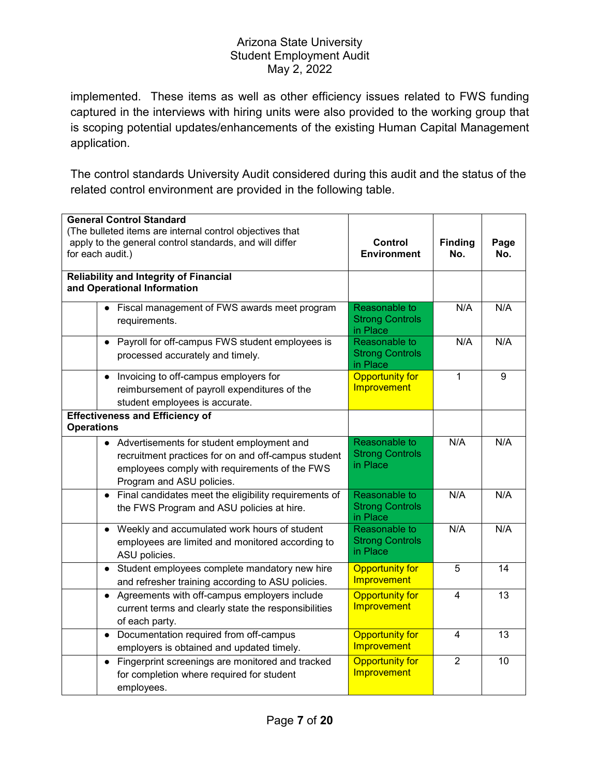implemented. These items as well as other efficiency issues related to FWS funding captured in the interviews with hiring units were also provided to the working group that is scoping potential updates/enhancements of the existing Human Capital Management application.

The control standards University Audit considered during this audit and the status of the related control environment are provided in the following table.

| <b>General Control Standard</b>                                                                                                                                                  |                                                     |                       |             |
|----------------------------------------------------------------------------------------------------------------------------------------------------------------------------------|-----------------------------------------------------|-----------------------|-------------|
| (The bulleted items are internal control objectives that<br>apply to the general control standards, and will differ<br>for each audit.)                                          | Control<br><b>Environment</b>                       | <b>Finding</b><br>No. | Page<br>No. |
| Reliability and Integrity of Financial<br>and Operational Information                                                                                                            |                                                     |                       |             |
| Fiscal management of FWS awards meet program<br>requirements.                                                                                                                    | Reasonable to<br><b>Strong Controls</b><br>in Place | N/A                   | N/A         |
| Payroll for off-campus FWS student employees is<br>$\bullet$<br>processed accurately and timely.                                                                                 | Reasonable to<br><b>Strong Controls</b><br>in Place | N/A                   | N/A         |
| Invoicing to off-campus employers for<br>$\bullet$<br>reimbursement of payroll expenditures of the<br>student employees is accurate.                                             | <b>Opportunity for</b><br>Improvement               | $\mathbf{1}$          | 9           |
| <b>Effectiveness and Efficiency of</b><br><b>Operations</b>                                                                                                                      |                                                     |                       |             |
| • Advertisements for student employment and<br>recruitment practices for on and off-campus student<br>employees comply with requirements of the FWS<br>Program and ASU policies. | Reasonable to<br><b>Strong Controls</b><br>in Place | N/A                   | N/A         |
| Final candidates meet the eligibility requirements of<br>$\bullet$<br>the FWS Program and ASU policies at hire.                                                                  | Reasonable to<br><b>Strong Controls</b><br>in Place | N/A                   | N/A         |
| Weekly and accumulated work hours of student<br>$\bullet$<br>employees are limited and monitored according to<br>ASU policies.                                                   | Reasonable to<br><b>Strong Controls</b><br>in Place | N/A                   | N/A         |
| Student employees complete mandatory new hire<br>$\bullet$<br>and refresher training according to ASU policies.                                                                  | <b>Opportunity for</b><br>Improvement               | 5                     | 14          |
| Agreements with off-campus employers include<br>$\bullet$<br>current terms and clearly state the responsibilities<br>of each party.                                              | <b>Opportunity for</b><br>Improvement               | 4                     | 13          |
| Documentation required from off-campus<br>$\bullet$<br>employers is obtained and updated timely.                                                                                 | <b>Opportunity for</b><br>Improvement               | $\overline{4}$        | 13          |
| • Fingerprint screenings are monitored and tracked<br>for completion where required for student<br>employees.                                                                    | <b>Opportunity for</b><br>Improvement               | $\overline{2}$        | 10          |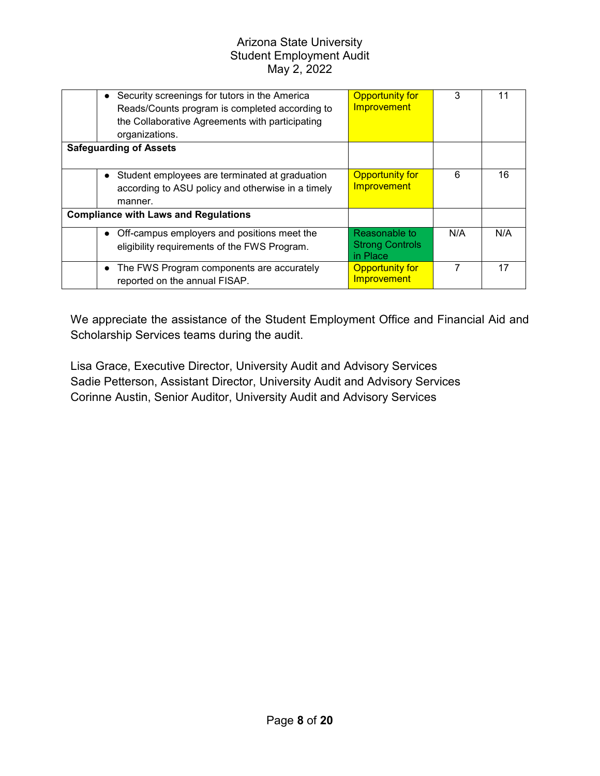|                                             | Security screenings for tutors in the America<br>$\bullet$<br>Reads/Counts program is completed according to<br>the Collaborative Agreements with participating<br>organizations. | <b>Opportunity for</b><br>Improvement               | 3   | 11  |
|---------------------------------------------|-----------------------------------------------------------------------------------------------------------------------------------------------------------------------------------|-----------------------------------------------------|-----|-----|
|                                             | <b>Safeguarding of Assets</b>                                                                                                                                                     |                                                     |     |     |
|                                             | Student employees are terminated at graduation<br>$\bullet$<br>according to ASU policy and otherwise in a timely<br>manner.                                                       | <b>Opportunity for</b><br>Improvement               | 6   | 16  |
| <b>Compliance with Laws and Regulations</b> |                                                                                                                                                                                   |                                                     |     |     |
|                                             | Off-campus employers and positions meet the<br>$\bullet$<br>eligibility requirements of the FWS Program.                                                                          | Reasonable to<br><b>Strong Controls</b><br>in Place | N/A | N/A |
|                                             | The FWS Program components are accurately<br>$\bullet$<br>reported on the annual FISAP.                                                                                           | <b>Opportunity for</b><br>Improvement               |     | 17  |

We appreciate the assistance of the Student Employment Office and Financial Aid and Scholarship Services teams during the audit.

Lisa Grace, Executive Director, University Audit and Advisory Services Sadie Petterson, Assistant Director, University Audit and Advisory Services Corinne Austin, Senior Auditor, University Audit and Advisory Services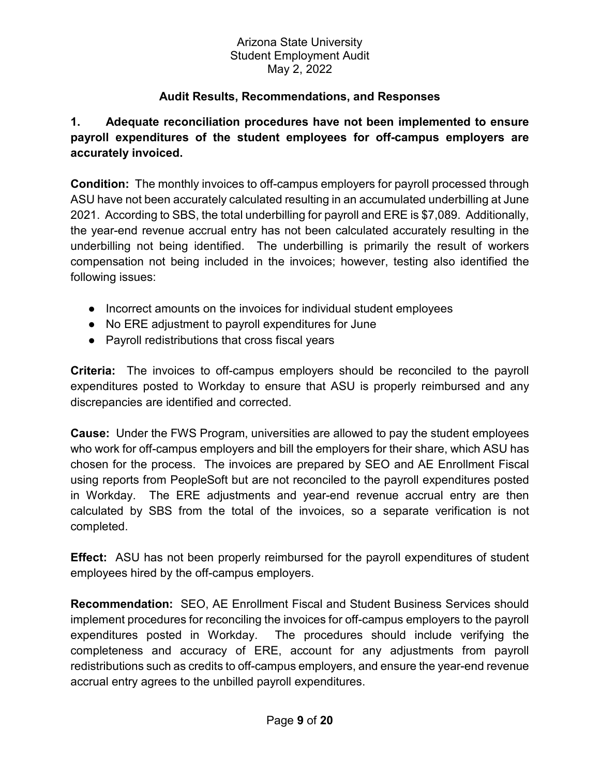## **Audit Results, Recommendations, and Responses**

## **1. Adequate reconciliation procedures have not been implemented to ensure payroll expenditures of the student employees for off-campus employers are accurately invoiced.**

**Condition:** The monthly invoices to off-campus employers for payroll processed through ASU have not been accurately calculated resulting in an accumulated underbilling at June 2021. According to SBS, the total underbilling for payroll and ERE is \$7,089. Additionally, the year-end revenue accrual entry has not been calculated accurately resulting in the underbilling not being identified. The underbilling is primarily the result of workers compensation not being included in the invoices; however, testing also identified the following issues:

- Incorrect amounts on the invoices for individual student employees
- No ERE adjustment to payroll expenditures for June
- Payroll redistributions that cross fiscal years

**Criteria:** The invoices to off-campus employers should be reconciled to the payroll expenditures posted to Workday to ensure that ASU is properly reimbursed and any discrepancies are identified and corrected.

**Cause:** Under the FWS Program, universities are allowed to pay the student employees who work for off-campus employers and bill the employers for their share, which ASU has chosen for the process. The invoices are prepared by SEO and AE Enrollment Fiscal using reports from PeopleSoft but are not reconciled to the payroll expenditures posted in Workday. The ERE adjustments and year-end revenue accrual entry are then calculated by SBS from the total of the invoices, so a separate verification is not completed.

**Effect:** ASU has not been properly reimbursed for the payroll expenditures of student employees hired by the off-campus employers.

**Recommendation:** SEO, AE Enrollment Fiscal and Student Business Services should implement procedures for reconciling the invoices for off-campus employers to the payroll expenditures posted in Workday. The procedures should include verifying the completeness and accuracy of ERE, account for any adjustments from payroll redistributions such as credits to off-campus employers, and ensure the year-end revenue accrual entry agrees to the unbilled payroll expenditures.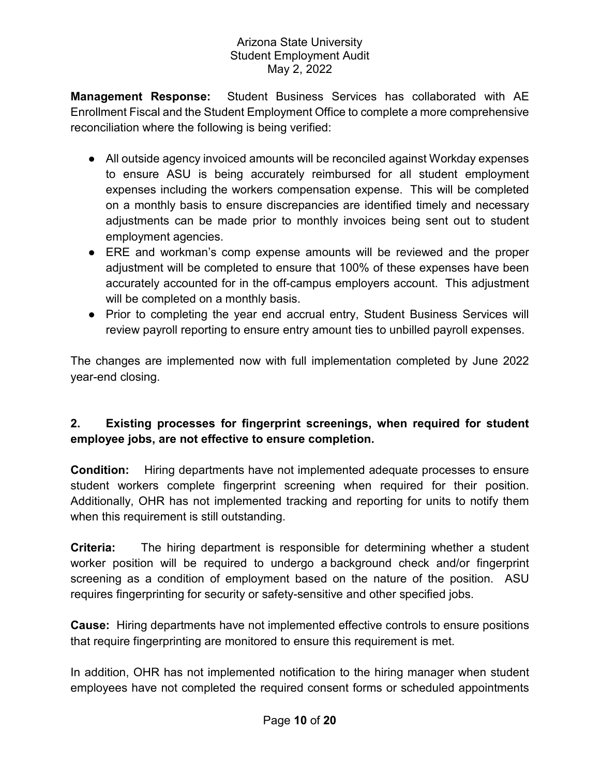**Management Response:** Student Business Services has collaborated with AE Enrollment Fiscal and the Student Employment Office to complete a more comprehensive reconciliation where the following is being verified:

- All outside agency invoiced amounts will be reconciled against Workday expenses to ensure ASU is being accurately reimbursed for all student employment expenses including the workers compensation expense. This will be completed on a monthly basis to ensure discrepancies are identified timely and necessary adjustments can be made prior to monthly invoices being sent out to student employment agencies.
- ERE and workman's comp expense amounts will be reviewed and the proper adjustment will be completed to ensure that 100% of these expenses have been accurately accounted for in the off-campus employers account. This adjustment will be completed on a monthly basis.
- Prior to completing the year end accrual entry, Student Business Services will review payroll reporting to ensure entry amount ties to unbilled payroll expenses.

The changes are implemented now with full implementation completed by June 2022 year-end closing.

# **2. Existing processes for fingerprint screenings, when required for student employee jobs, are not effective to ensure completion.**

**Condition:** Hiring departments have not implemented adequate processes to ensure student workers complete fingerprint screening when required for their position. Additionally, OHR has not implemented tracking and reporting for units to notify them when this requirement is still outstanding.

**Criteria:** The hiring department is responsible for determining whether a student worker position will be required to undergo a background check and/or fingerprint screening as a condition of employment based on the nature of the position. ASU requires fingerprinting for security or safety-sensitive and other specified jobs.

**Cause:** Hiring departments have not implemented effective controls to ensure positions that require fingerprinting are monitored to ensure this requirement is met.

In addition, OHR has not implemented notification to the hiring manager when student employees have not completed the required consent forms or scheduled appointments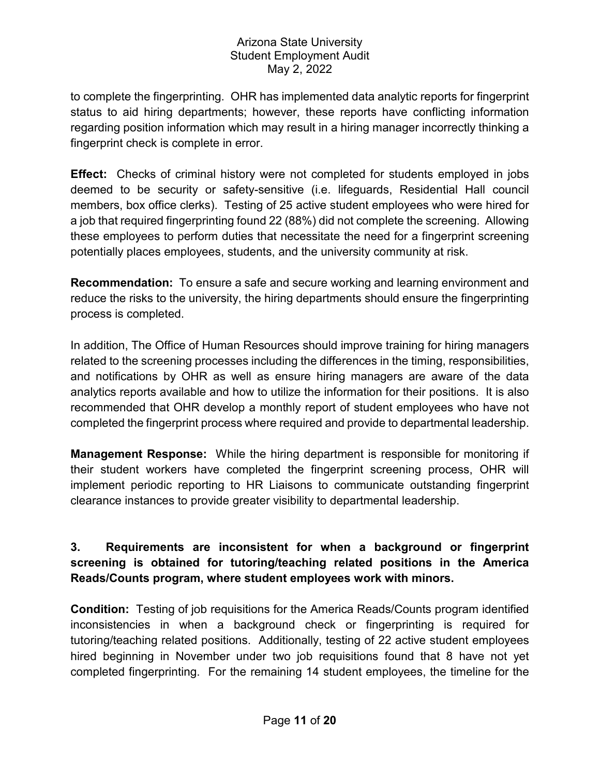to complete the fingerprinting. OHR has implemented data analytic reports for fingerprint status to aid hiring departments; however, these reports have conflicting information regarding position information which may result in a hiring manager incorrectly thinking a fingerprint check is complete in error.

**Effect:** Checks of criminal history were not completed for students employed in jobs deemed to be security or safety-sensitive (i.e. lifeguards, Residential Hall council members, box office clerks). Testing of 25 active student employees who were hired for a job that required fingerprinting found 22 (88%) did not complete the screening. Allowing these employees to perform duties that necessitate the need for a fingerprint screening potentially places employees, students, and the university community at risk.

**Recommendation:** To ensure a safe and secure working and learning environment and reduce the risks to the university, the hiring departments should ensure the fingerprinting process is completed.

In addition, The Office of Human Resources should improve training for hiring managers related to the screening processes including the differences in the timing, responsibilities, and notifications by OHR as well as ensure hiring managers are aware of the data analytics reports available and how to utilize the information for their positions. It is also recommended that OHR develop a monthly report of student employees who have not completed the fingerprint process where required and provide to departmental leadership.

**Management Response:** While the hiring department is responsible for monitoring if their student workers have completed the fingerprint screening process, OHR will implement periodic reporting to HR Liaisons to communicate outstanding fingerprint clearance instances to provide greater visibility to departmental leadership.

# **3. Requirements are inconsistent for when a background or fingerprint screening is obtained for tutoring/teaching related positions in the America Reads/Counts program, where student employees work with minors.**

**Condition:** Testing of job requisitions for the America Reads/Counts program identified inconsistencies in when a background check or fingerprinting is required for tutoring/teaching related positions. Additionally, testing of 22 active student employees hired beginning in November under two job requisitions found that 8 have not yet completed fingerprinting. For the remaining 14 student employees, the timeline for the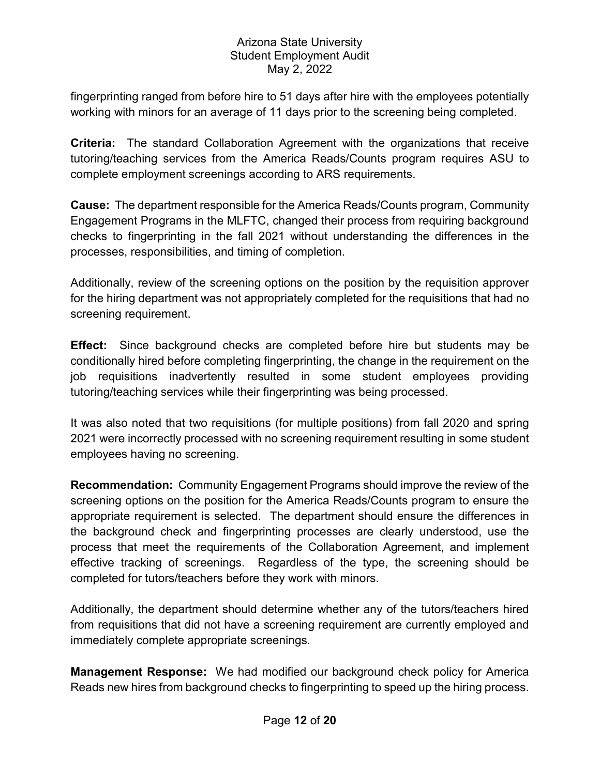fingerprinting ranged from before hire to 51 days after hire with the employees potentially working with minors for an average of 11 days prior to the screening being completed.

**Criteria:** The standard Collaboration Agreement with the organizations that receive tutoring/teaching services from the America Reads/Counts program requires ASU to complete employment screenings according to ARS requirements.

**Cause:** The department responsible for the America Reads/Counts program, Community Engagement Programs in the MLFTC, changed their process from requiring background checks to fingerprinting in the fall 2021 without understanding the differences in the processes, responsibilities, and timing of completion.

Additionally, review of the screening options on the position by the requisition approver for the hiring department was not appropriately completed for the requisitions that had no screening requirement.

**Effect:** Since background checks are completed before hire but students may be conditionally hired before completing fingerprinting, the change in the requirement on the job requisitions inadvertently resulted in some student employees providing tutoring/teaching services while their fingerprinting was being processed.

It was also noted that two requisitions (for multiple positions) from fall 2020 and spring 2021 were incorrectly processed with no screening requirement resulting in some student employees having no screening.

**Recommendation:** Community Engagement Programs should improve the review of the screening options on the position for the America Reads/Counts program to ensure the appropriate requirement is selected. The department should ensure the differences in the background check and fingerprinting processes are clearly understood, use the process that meet the requirements of the Collaboration Agreement, and implement effective tracking of screenings. Regardless of the type, the screening should be completed for tutors/teachers before they work with minors.

Additionally, the department should determine whether any of the tutors/teachers hired from requisitions that did not have a screening requirement are currently employed and immediately complete appropriate screenings.

**Management Response:** We had modified our background check policy for America Reads new hires from background checks to fingerprinting to speed up the hiring process.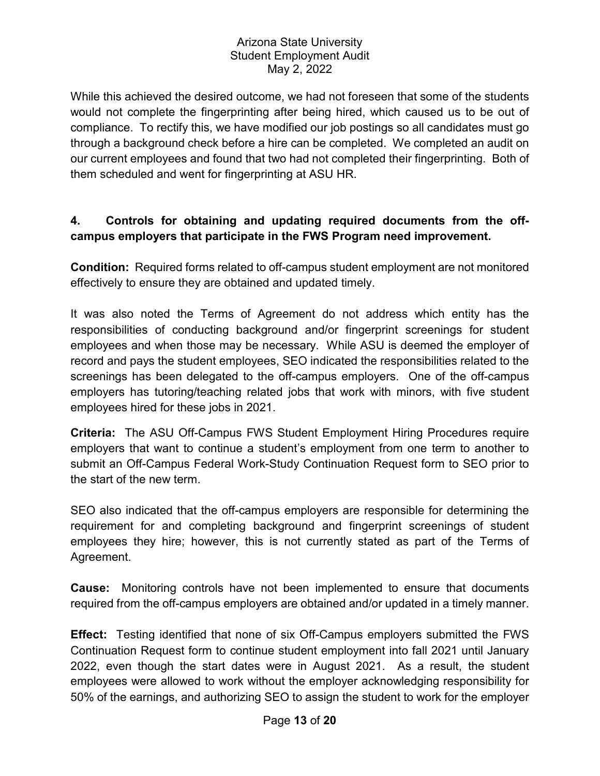While this achieved the desired outcome, we had not foreseen that some of the students would not complete the fingerprinting after being hired, which caused us to be out of compliance. To rectify this, we have modified our job postings so all candidates must go through a background check before a hire can be completed. We completed an audit on our current employees and found that two had not completed their fingerprinting. Both of them scheduled and went for fingerprinting at ASU HR.

## **4. Controls for obtaining and updating required documents from the offcampus employers that participate in the FWS Program need improvement.**

**Condition:** Required forms related to off-campus student employment are not monitored effectively to ensure they are obtained and updated timely.

It was also noted the Terms of Agreement do not address which entity has the responsibilities of conducting background and/or fingerprint screenings for student employees and when those may be necessary. While ASU is deemed the employer of record and pays the student employees, SEO indicated the responsibilities related to the screenings has been delegated to the off-campus employers. One of the off-campus employers has tutoring/teaching related jobs that work with minors, with five student employees hired for these jobs in 2021.

**Criteria:** The ASU Off-Campus FWS Student Employment Hiring Procedures require employers that want to continue a student's employment from one term to another to submit an Off-Campus Federal Work-Study Continuation Request form to SEO prior to the start of the new term.

SEO also indicated that the off-campus employers are responsible for determining the requirement for and completing background and fingerprint screenings of student employees they hire; however, this is not currently stated as part of the Terms of Agreement.

**Cause:** Monitoring controls have not been implemented to ensure that documents required from the off-campus employers are obtained and/or updated in a timely manner.

**Effect:** Testing identified that none of six Off-Campus employers submitted the FWS Continuation Request form to continue student employment into fall 2021 until January 2022, even though the start dates were in August 2021. As a result, the student employees were allowed to work without the employer acknowledging responsibility for 50% of the earnings, and authorizing SEO to assign the student to work for the employer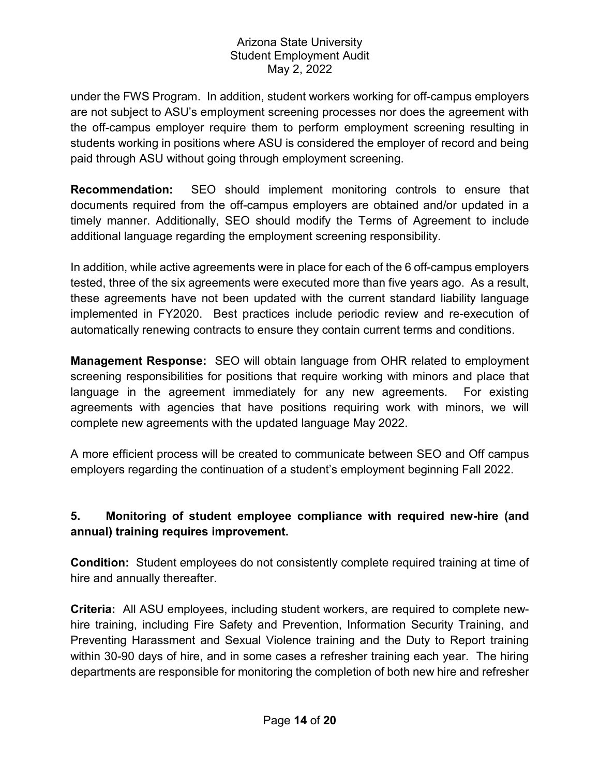under the FWS Program. In addition, student workers working for off-campus employers are not subject to ASU's employment screening processes nor does the agreement with the off-campus employer require them to perform employment screening resulting in students working in positions where ASU is considered the employer of record and being paid through ASU without going through employment screening.

**Recommendation:** SEO should implement monitoring controls to ensure that documents required from the off-campus employers are obtained and/or updated in a timely manner. Additionally, SEO should modify the Terms of Agreement to include additional language regarding the employment screening responsibility.

In addition, while active agreements were in place for each of the 6 off-campus employers tested, three of the six agreements were executed more than five years ago. As a result, these agreements have not been updated with the current standard liability language implemented in FY2020. Best practices include periodic review and re-execution of automatically renewing contracts to ensure they contain current terms and conditions.

**Management Response:** SEO will obtain language from OHR related to employment screening responsibilities for positions that require working with minors and place that language in the agreement immediately for any new agreements. For existing agreements with agencies that have positions requiring work with minors, we will complete new agreements with the updated language May 2022.

A more efficient process will be created to communicate between SEO and Off campus employers regarding the continuation of a student's employment beginning Fall 2022.

# **5. Monitoring of student employee compliance with required new-hire (and annual) training requires improvement.**

**Condition:** Student employees do not consistently complete required training at time of hire and annually thereafter.

**Criteria:** All ASU employees, including student workers, are required to complete newhire training, including Fire Safety and Prevention, Information Security Training, and Preventing Harassment and Sexual Violence training and the Duty to Report training within 30-90 days of hire, and in some cases a refresher training each year. The hiring departments are responsible for monitoring the completion of both new hire and refresher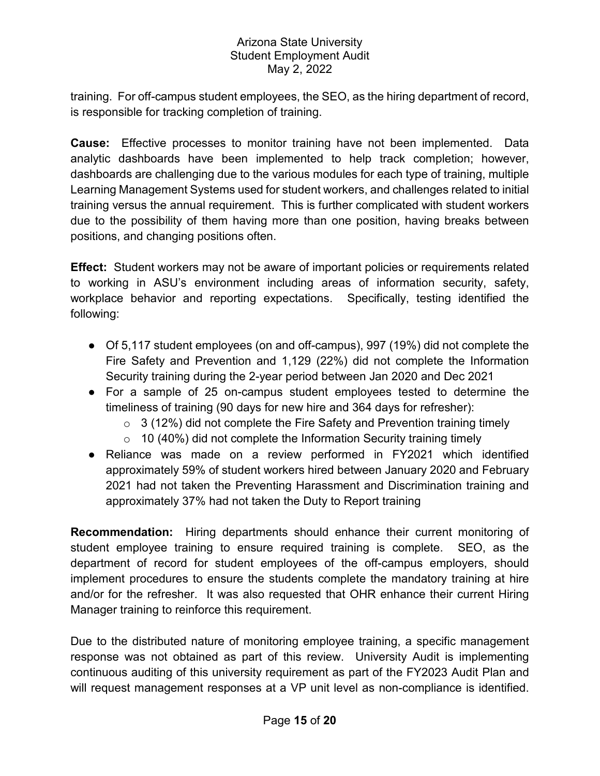training. For off-campus student employees, the SEO, as the hiring department of record, is responsible for tracking completion of training.

**Cause:** Effective processes to monitor training have not been implemented. Data analytic dashboards have been implemented to help track completion; however, dashboards are challenging due to the various modules for each type of training, multiple Learning Management Systems used for student workers, and challenges related to initial training versus the annual requirement. This is further complicated with student workers due to the possibility of them having more than one position, having breaks between positions, and changing positions often.

**Effect:** Student workers may not be aware of important policies or requirements related to working in ASU's environment including areas of information security, safety, workplace behavior and reporting expectations. Specifically, testing identified the following:

- Of 5,117 student employees (on and off-campus), 997 (19%) did not complete the Fire Safety and Prevention and 1,129 (22%) did not complete the Information Security training during the 2-year period between Jan 2020 and Dec 2021
- For a sample of 25 on-campus student employees tested to determine the timeliness of training (90 days for new hire and 364 days for refresher):
	- $\circ$  3 (12%) did not complete the Fire Safety and Prevention training timely
	- $\circ$  10 (40%) did not complete the Information Security training timely
- Reliance was made on a review performed in FY2021 which identified approximately 59% of student workers hired between January 2020 and February 2021 had not taken the Preventing Harassment and Discrimination training and approximately 37% had not taken the Duty to Report training

**Recommendation:** Hiring departments should enhance their current monitoring of student employee training to ensure required training is complete. SEO, as the department of record for student employees of the off-campus employers, should implement procedures to ensure the students complete the mandatory training at hire and/or for the refresher. It was also requested that OHR enhance their current Hiring Manager training to reinforce this requirement.

Due to the distributed nature of monitoring employee training, a specific management response was not obtained as part of this review. University Audit is implementing continuous auditing of this university requirement as part of the FY2023 Audit Plan and will request management responses at a VP unit level as non-compliance is identified.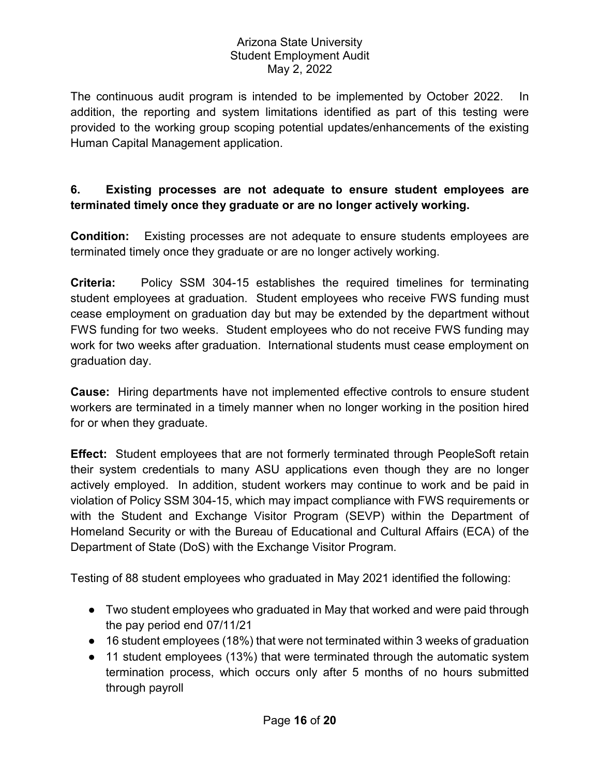The continuous audit program is intended to be implemented by October 2022. In addition, the reporting and system limitations identified as part of this testing were provided to the working group scoping potential updates/enhancements of the existing Human Capital Management application.

## **6. Existing processes are not adequate to ensure student employees are terminated timely once they graduate or are no longer actively working.**

**Condition:** Existing processes are not adequate to ensure students employees are terminated timely once they graduate or are no longer actively working.

**Criteria:** Policy SSM 304-15 establishes the required timelines for terminating student employees at graduation. Student employees who receive FWS funding must cease employment on graduation day but may be extended by the department without FWS funding for two weeks. Student employees who do not receive FWS funding may work for two weeks after graduation. International students must cease employment on graduation day.

**Cause:** Hiring departments have not implemented effective controls to ensure student workers are terminated in a timely manner when no longer working in the position hired for or when they graduate.

**Effect:** Student employees that are not formerly terminated through PeopleSoft retain their system credentials to many ASU applications even though they are no longer actively employed. In addition, student workers may continue to work and be paid in violation of Policy SSM 304-15, which may impact compliance with FWS requirements or with the Student and Exchange Visitor Program (SEVP) within the Department of Homeland Security or with the Bureau of Educational and Cultural Affairs (ECA) of the Department of State (DoS) with the Exchange Visitor Program.

Testing of 88 student employees who graduated in May 2021 identified the following:

- Two student employees who graduated in May that worked and were paid through the pay period end 07/11/21
- 16 student employees (18%) that were not terminated within 3 weeks of graduation
- 11 student employees (13%) that were terminated through the automatic system termination process, which occurs only after 5 months of no hours submitted through payroll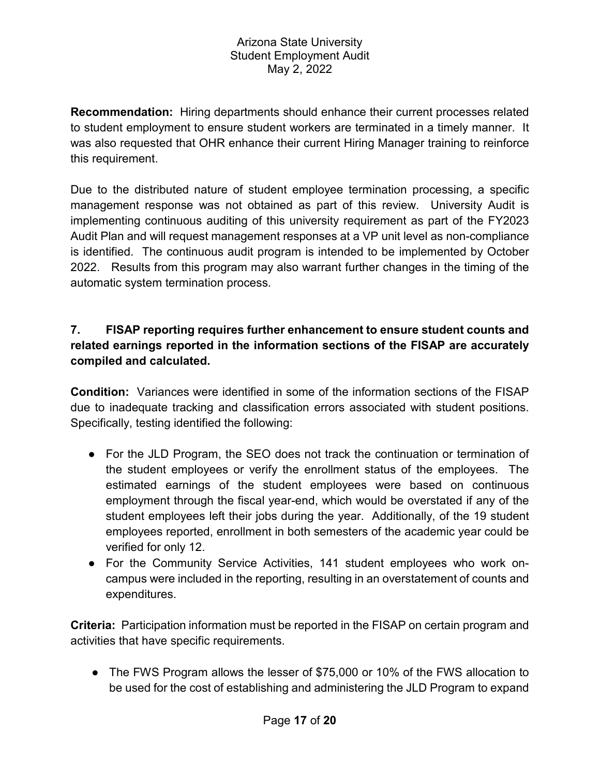**Recommendation:** Hiring departments should enhance their current processes related to student employment to ensure student workers are terminated in a timely manner. It was also requested that OHR enhance their current Hiring Manager training to reinforce this requirement.

Due to the distributed nature of student employee termination processing, a specific management response was not obtained as part of this review. University Audit is implementing continuous auditing of this university requirement as part of the FY2023 Audit Plan and will request management responses at a VP unit level as non-compliance is identified. The continuous audit program is intended to be implemented by October 2022. Results from this program may also warrant further changes in the timing of the automatic system termination process.

# **7. FISAP reporting requires further enhancement to ensure student counts and related earnings reported in the information sections of the FISAP are accurately compiled and calculated.**

**Condition:** Variances were identified in some of the information sections of the FISAP due to inadequate tracking and classification errors associated with student positions. Specifically, testing identified the following:

- For the JLD Program, the SEO does not track the continuation or termination of the student employees or verify the enrollment status of the employees. The estimated earnings of the student employees were based on continuous employment through the fiscal year-end, which would be overstated if any of the student employees left their jobs during the year. Additionally, of the 19 student employees reported, enrollment in both semesters of the academic year could be verified for only 12.
- For the Community Service Activities, 141 student employees who work oncampus were included in the reporting, resulting in an overstatement of counts and expenditures.

**Criteria:** Participation information must be reported in the FISAP on certain program and activities that have specific requirements.

● The FWS Program allows the lesser of \$75,000 or 10% of the FWS allocation to be used for the cost of establishing and administering the JLD Program to expand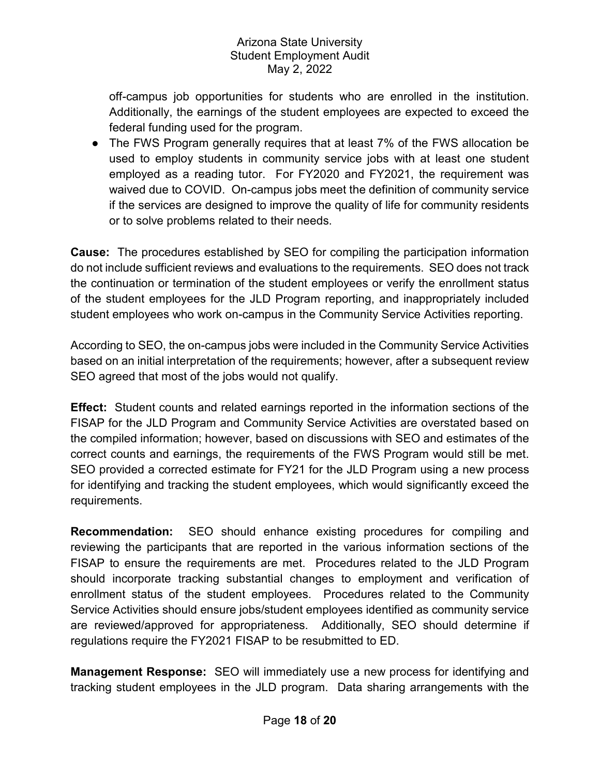off-campus job opportunities for students who are enrolled in the institution. Additionally, the earnings of the student employees are expected to exceed the federal funding used for the program.

● The FWS Program generally requires that at least 7% of the FWS allocation be used to employ students in community service jobs with at least one student employed as a reading tutor. For FY2020 and FY2021, the requirement was waived due to COVID. On-campus jobs meet the definition of community service if the services are designed to improve the quality of life for community residents or to solve problems related to their needs.

**Cause:** The procedures established by SEO for compiling the participation information do not include sufficient reviews and evaluations to the requirements. SEO does not track the continuation or termination of the student employees or verify the enrollment status of the student employees for the JLD Program reporting, and inappropriately included student employees who work on-campus in the Community Service Activities reporting.

According to SEO, the on-campus jobs were included in the Community Service Activities based on an initial interpretation of the requirements; however, after a subsequent review SEO agreed that most of the jobs would not qualify.

**Effect:** Student counts and related earnings reported in the information sections of the FISAP for the JLD Program and Community Service Activities are overstated based on the compiled information; however, based on discussions with SEO and estimates of the correct counts and earnings, the requirements of the FWS Program would still be met. SEO provided a corrected estimate for FY21 for the JLD Program using a new process for identifying and tracking the student employees, which would significantly exceed the requirements.

**Recommendation:** SEO should enhance existing procedures for compiling and reviewing the participants that are reported in the various information sections of the FISAP to ensure the requirements are met. Procedures related to the JLD Program should incorporate tracking substantial changes to employment and verification of enrollment status of the student employees. Procedures related to the Community Service Activities should ensure jobs/student employees identified as community service are reviewed/approved for appropriateness. Additionally, SEO should determine if regulations require the FY2021 FISAP to be resubmitted to ED.

**Management Response:** SEO will immediately use a new process for identifying and tracking student employees in the JLD program. Data sharing arrangements with the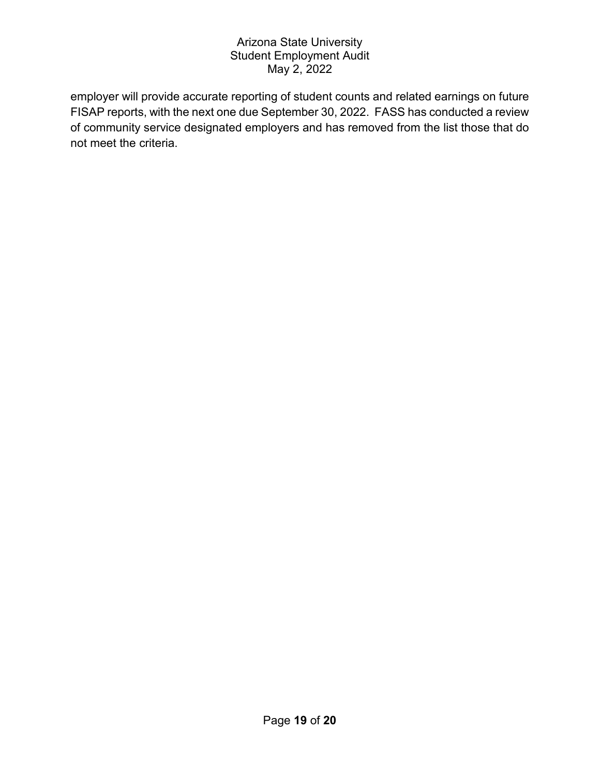employer will provide accurate reporting of student counts and related earnings on future FISAP reports, with the next one due September 30, 2022. FASS has conducted a review of community service designated employers and has removed from the list those that do not meet the criteria.